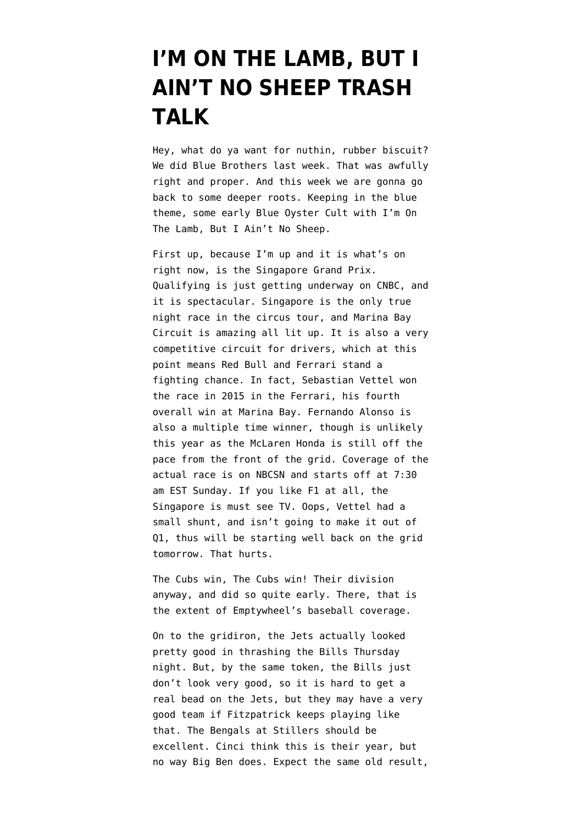## **[I'M ON THE LAMB, BUT I](https://www.emptywheel.net/2016/09/17/im-on-the-lamb-but-i-aint-no-sheep-trash-talk/) [AIN'T NO SHEEP TRASH](https://www.emptywheel.net/2016/09/17/im-on-the-lamb-but-i-aint-no-sheep-trash-talk/) [TALK](https://www.emptywheel.net/2016/09/17/im-on-the-lamb-but-i-aint-no-sheep-trash-talk/)**

Hey, what do ya want for nuthin, rubber biscuit? We did Blue Brothers last week. That was awfully right and proper. And this week we are gonna go back to some deeper roots. Keeping in the blue theme, some early Blue Oyster Cult with I'm On The Lamb, But I Ain't No Sheep.

First up, because I'm up and it is what's on right now, is the Singapore Grand Prix. Qualifying is just getting underway on CNBC, and it is spectacular. Singapore is the only true night race in the circus tour, and Marina Bay Circuit is amazing all lit up. It is also a very competitive circuit for drivers, which at this point means Red Bull and Ferrari stand a fighting chance. In fact, Sebastian Vettel won the race in 2015 in the Ferrari, his fourth overall win at Marina Bay. Fernando Alonso is also a multiple time winner, though is unlikely this year as the McLaren Honda is still off the pace from the front of the grid. Coverage of the actual race is on NBCSN and starts off at 7:30 am EST Sunday. If you like F1 at all, the Singapore is must see TV. Oops, Vettel had a small shunt, and isn't going to make it out of Q1, thus will be starting well back on the grid tomorrow. That hurts.

The Cubs win, The Cubs win! Their division anyway, and did so quite early. There, that is the extent of Emptywheel's baseball coverage.

On to the gridiron, the Jets actually looked pretty good in thrashing the Bills Thursday night. But, by the same token, the Bills just don't look very good, so it is hard to get a real bead on the Jets, but they may have a very good team if Fitzpatrick keeps playing like that. The Bengals at Stillers should be excellent. Cinci think this is their year, but no way Big Ben does. Expect the same old result,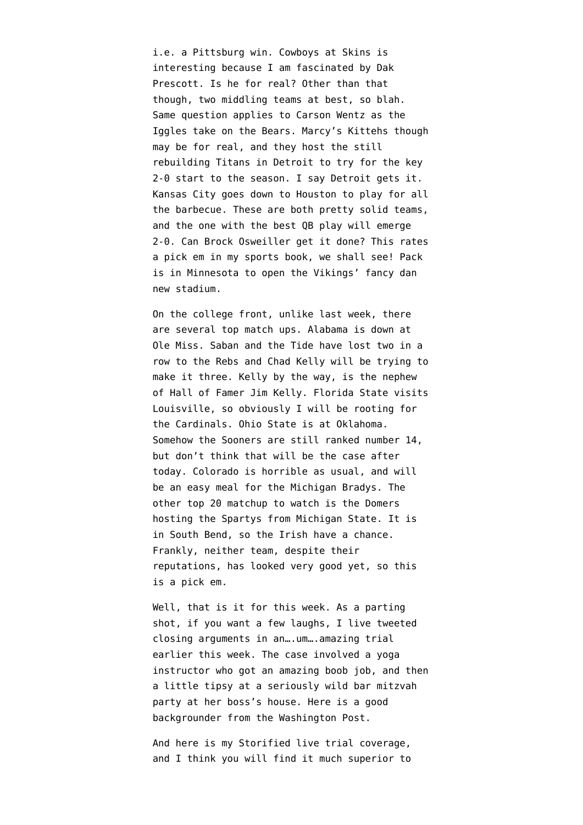i.e. a Pittsburg win. Cowboys at Skins is interesting because I am fascinated by Dak Prescott. Is he for real? Other than that though, two middling teams at best, so blah. Same question applies to Carson Wentz as the Iggles take on the Bears. Marcy's Kittehs though may be for real, and they host the still rebuilding Titans in Detroit to try for the key 2-0 start to the season. I say Detroit gets it. Kansas City goes down to Houston to play for all the barbecue. These are both pretty solid teams, and the one with the best QB play will emerge 2-0. Can Brock Osweiller get it done? This rates a pick em in my sports book, we shall see! Pack is in Minnesota to open the Vikings' fancy dan new stadium.

On the college front, unlike last week, there are several top match ups. Alabama is down at Ole Miss. Saban and the Tide have lost two in a row to the Rebs and Chad Kelly will be trying to make it three. Kelly by the way, is the nephew of Hall of Famer Jim Kelly. Florida State visits Louisville, so obviously I will be rooting for the Cardinals. Ohio State is at Oklahoma. Somehow the Sooners are still ranked number 14, but don't think that will be the case after today. Colorado is horrible as usual, and will be an easy meal for the Michigan Bradys. The other top 20 matchup to watch is the Domers hosting the Spartys from Michigan State. It is in South Bend, so the Irish have a chance. Frankly, neither team, despite their reputations, has looked very good yet, so this is a pick em.

Well, that is it for this week. As a parting shot, if you want a few laughs, I live tweeted closing arguments in an….um….amazing trial earlier this week. The case involved a yoga instructor who got an amazing boob job, and then a little tipsy at a seriously wild bar mitzvah party at her boss's house. Here is a g[ood](https://www.washingtonpost.com/news/morning-mix/wp/2016/09/14/bar-mitzvah-party-flasher-case-arizona-yoga-instructor-lindsey-ann-radomski-found-not-guilty-of-indecency/) [backgrounder from the Washington Post](https://www.washingtonpost.com/news/morning-mix/wp/2016/09/14/bar-mitzvah-party-flasher-case-arizona-yoga-instructor-lindsey-ann-radomski-found-not-guilty-of-indecency/).

And [here is my Storified live trial coverage](https://storify.com/bmaz/the-curious-case-of-the-yoga-instructor-with-a-boo), and I think you will find it much superior to